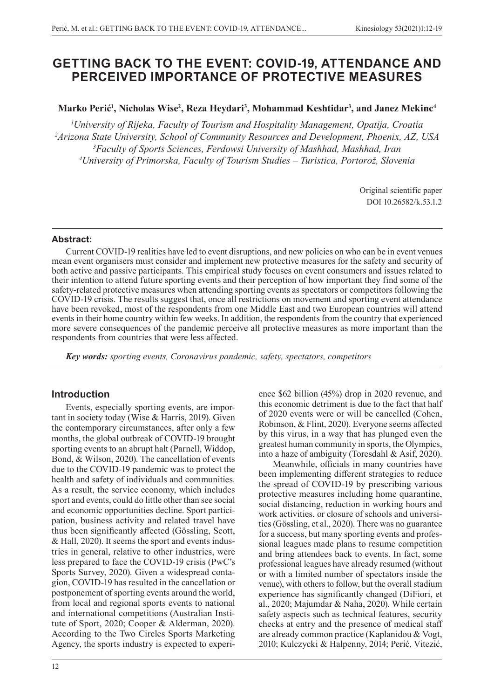# **GETTING BACK TO THE EVENT: COVID-19, ATTENDANCE AND PERCEIVED IMPORTANCE OF PROTECTIVE MEASURES**

**Marko Perić<sup>1</sup> , Nicholas Wise2 , Reza Heydari3 , Mohammad Keshtidar3 , and Janez Mekinc4**

 *University of Rijeka, Faculty of Tourism and Hospitality Management, Opatija, Croatia Arizona State University, School of Community Resources and Development, Phoenix, AZ, USA Faculty of Sports Sciences, Ferdowsi University of Mashhad, Mashhad, Iran University of Primorska, Faculty of Tourism Studies – Turistica, Portorož, Slovenia*

> Original scientific paper DOI 10.26582/k.53.1.2

#### **Abstract:**

Current COVID-19 realities have led to event disruptions, and new policies on who can be in event venues mean event organisers must consider and implement new protective measures for the safety and security of both active and passive participants. This empirical study focuses on event consumers and issues related to their intention to attend future sporting events and their perception of how important they find some of the safety-related protective measures when attending sporting events as spectators or competitors following the COVID-19 crisis. The results suggest that, once all restrictions on movement and sporting event attendance have been revoked, most of the respondents from one Middle East and two European countries will attend events in their home country within few weeks. In addition, the respondents from the country that experienced more severe consequences of the pandemic perceive all protective measures as more important than the respondents from countries that were less affected.

*Key words: sporting events, Coronavirus pandemic, safety, spectators, competitors*

# **Introduction**

Events, especially sporting events, are important in society today (Wise & Harris, 2019). Given the contemporary circumstances, after only a few months, the global outbreak of COVID-19 brought sporting events to an abrupt halt (Parnell, Widdop, Bond, & Wilson, 2020). The cancellation of events due to the COVID-19 pandemic was to protect the health and safety of individuals and communities. As a result, the service economy, which includes sport and events, could do little other than see social and economic opportunities decline. Sport participation, business activity and related travel have thus been significantly affected (Gössling, Scott, & Hall, 2020). It seems the sport and events industries in general, relative to other industries, were less prepared to face the COVID-19 crisis (PwC's Sports Survey, 2020). Given a widespread contagion, COVID-19 has resulted in the cancellation or postponement of sporting events around the world, from local and regional sports events to national and international competitions (Australian Institute of Sport, 2020; Cooper & Alderman, 2020). According to the Two Circles Sports Marketing Agency, the sports industry is expected to experi-

12

ence \$62 billion (45%) drop in 2020 revenue, and this economic detriment is due to the fact that half of 2020 events were or will be cancelled (Cohen, Robinson, & Flint, 2020). Everyone seems affected by this virus, in a way that has plunged even the greatest human community in sports, the Olympics, into a haze of ambiguity (Toresdahl & Asif, 2020).

Meanwhile, officials in many countries have been implementing different strategies to reduce the spread of COVID-19 by prescribing various protective measures including home quarantine, social distancing, reduction in working hours and work activities, or closure of schools and universities (Gössling, et al., 2020). There was no guarantee for a success, but many sporting events and professional leagues made plans to resume competition and bring attendees back to events. In fact, some professional leagues have already resumed (without or with a limited number of spectators inside the venue), with others to follow, but the overall stadium experience has significantly changed (DiFiori, et al., 2020; Majumdar & Naha, 2020). While certain safety aspects such as technical features, security checks at entry and the presence of medical staff are already common practice (Kaplanidou & Vogt, 2010; Kulczycki & Halpenny, 2014; Perić, Vitezić,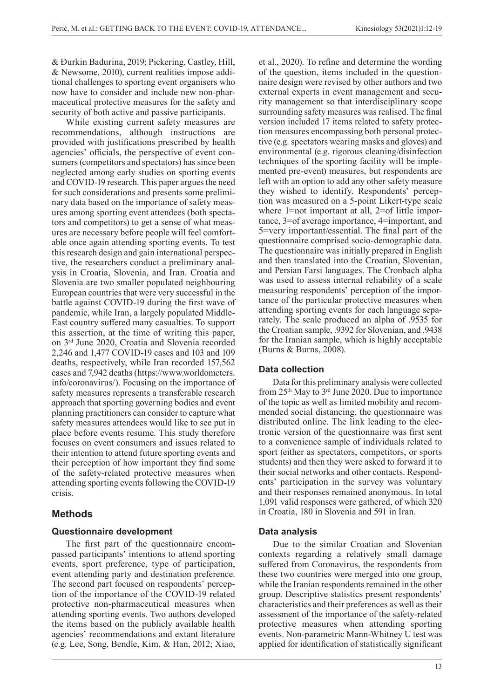& Đurkin Badurina, 2019; Pickering, Castley, Hill, & Newsome, 2010), current realities impose additional challenges to sporting event organisers who now have to consider and include new non-pharmaceutical protective measures for the safety and security of both active and passive participants.

While existing current safety measures are recommendations, although instructions are provided with justifications prescribed by health agencies' officials, the perspective of event consumers (competitors and spectators) has since been neglected among early studies on sporting events and COVID-19 research. This paper argues the need for such considerations and presents some preliminary data based on the importance of safety measures among sporting event attendees (both spectators and competitors) to get a sense of what measures are necessary before people will feel comfortable once again attending sporting events. To test this research design and gain international perspective, the researchers conduct a preliminary analysis in Croatia, Slovenia, and Iran. Croatia and Slovenia are two smaller populated neighbouring European countries that were very successful in the battle against COVID-19 during the first wave of pandemic, while Iran, a largely populated Middle-East country suffered many casualties. To support this assertion, at the time of writing this paper, on 3rd June 2020, Croatia and Slovenia recorded 2,246 and 1,477 COVID-19 cases and 103 and 109 deaths, respectively, while Iran recorded 157,562 cases and 7,942 deaths (https://www.worldometers. info/coronavirus/). Focusing on the importance of safety measures represents a transferable research approach that sporting governing bodies and event planning practitioners can consider to capture what safety measures attendees would like to see put in place before events resume. This study therefore focuses on event consumers and issues related to their intention to attend future sporting events and their perception of how important they find some of the safety-related protective measures when attending sporting events following the COVID-19 crisis.

# **Methods**

#### **Questionnaire development**

The first part of the questionnaire encompassed participants' intentions to attend sporting events, sport preference, type of participation, event attending party and destination preference. The second part focused on respondents' perception of the importance of the COVID-19 related protective non-pharmaceutical measures when attending sporting events. Two authors developed the items based on the publicly available health agencies' recommendations and extant literature (e.g. Lee, Song, Bendle, Kim, & Han, 2012; Xiao,

et al., 2020). To refine and determine the wording of the question, items included in the questionnaire design were revised by other authors and two external experts in event management and security management so that interdisciplinary scope surrounding safety measures was realised. The final version included 17 items related to safety protection measures encompassing both personal protective (e.g. spectators wearing masks and gloves) and environmental (e.g. rigorous cleaning/disinfection techniques of the sporting facility will be implemented pre-event) measures, but respondents are left with an option to add any other safety measure they wished to identify. Respondents' perception was measured on a 5-point Likert-type scale where 1=not important at all, 2=of little importance, 3=of average importance, 4=important, and 5=very important/essential. The final part of the questionnaire comprised socio-demographic data. The questionnaire was initially prepared in English and then translated into the Croatian, Slovenian, and Persian Farsi languages. The Cronbach alpha was used to assess internal reliability of a scale measuring respondents' perception of the importance of the particular protective measures when attending sporting events for each language separately. The scale produced an alpha of .9535 for the Croatian sample, .9392 for Slovenian, and .9438 for the Iranian sample, which is highly acceptable (Burns & Burns, 2008).

# **Data collection**

Data for this preliminary analysis were collected from 25th May to 3rd June 2020. Due to importance of the topic as well as limited mobility and recommended social distancing, the questionnaire was distributed online. The link leading to the electronic version of the questionnaire was first sent to a convenience sample of individuals related to sport (either as spectators, competitors, or sports students) and then they were asked to forward it to their social networks and other contacts. Respondents' participation in the survey was voluntary and their responses remained anonymous. In total 1,091 valid responses were gathered, of which 320 in Croatia, 180 in Slovenia and 591 in Iran.

# **Data analysis**

Due to the similar Croatian and Slovenian contexts regarding a relatively small damage suffered from Coronavirus, the respondents from these two countries were merged into one group, while the Iranian respondents remained in the other group. Descriptive statistics present respondents' characteristics and their preferences as well as their assessment of the importance of the safety-related protective measures when attending sporting events. Non-parametric Mann-Whitney U test was applied for identification of statistically significant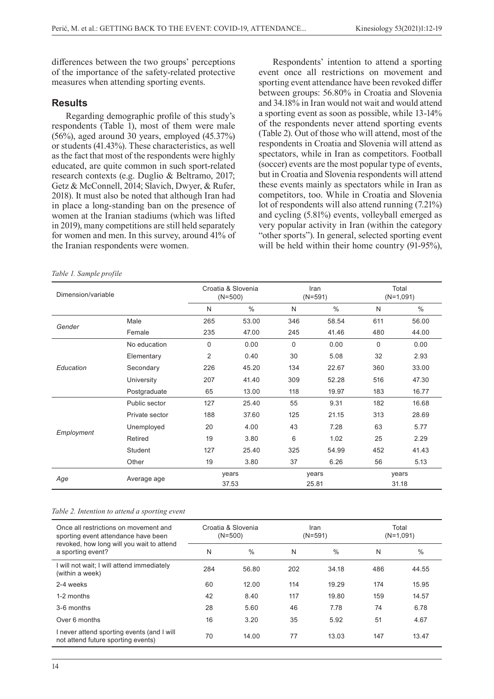differences between the two groups' perceptions of the importance of the safety-related protective measures when attending sporting events.

#### **Results**

Regarding demographic profile of this study's respondents (Table 1), most of them were male (56%), aged around 30 years, employed (45.37%) or students (41.43%). These characteristics, as well as the fact that most of the respondents were highly educated, are quite common in such sport-related research contexts (e.g. Duglio & Beltramo, 2017; Getz & McConnell, 2014; Slavich, Dwyer, & Rufer, 2018). It must also be noted that although Iran had in place a long-standing ban on the presence of women at the Iranian stadiums (which was lifted in 2019), many competitions are still held separately for women and men. In this survey, around 41% of the Iranian respondents were women.

Respondents' intention to attend a sporting event once all restrictions on movement and sporting event attendance have been revoked differ between groups: 56.80% in Croatia and Slovenia and 34.18% in Iran would not wait and would attend a sporting event as soon as possible, while 13-14% of the respondents never attend sporting events (Table 2). Out of those who will attend, most of the respondents in Croatia and Slovenia will attend as spectators, while in Iran as competitors. Football (soccer) events are the most popular type of events, but in Croatia and Slovenia respondents will attend these events mainly as spectators while in Iran as competitors, too. While in Croatia and Slovenia lot of respondents will also attend running (7.21%) and cycling (5.81%) events, volleyball emerged as very popular activity in Iran (within the category "other sports"). In general, selected sporting event will be held within their home country (91-95%),

#### *Table 1. Sample profile*

| Dimension/variable |                |                | Croatia & Slovenia<br>$(N=500)$ |             | Iran<br>$(N=591)$ | Total<br>$(N=1,091)$ |               |  |
|--------------------|----------------|----------------|---------------------------------|-------------|-------------------|----------------------|---------------|--|
|                    |                | N              | $\%$                            | N           | $\%$              | N                    | $\frac{0}{0}$ |  |
| Gender             | Male           | 265            | 53.00                           | 346         | 58.54             | 611                  | 56.00         |  |
|                    | Female         | 235            | 47.00                           | 245         | 41.46             | 480                  | 44.00         |  |
| Education          | No education   | $\Omega$       | 0.00                            | $\mathbf 0$ | 0.00              | $\Omega$             | 0.00          |  |
|                    | Elementary     | $\overline{2}$ | 0.40                            | 30          | 5.08              | 32                   | 2.93          |  |
|                    | Secondary      | 226            | 45.20                           | 134         | 22.67             | 360                  | 33.00         |  |
|                    | University     | 207            | 41.40                           | 309         | 52.28             | 516                  | 47.30         |  |
|                    | Postgraduate   | 65             | 13.00                           | 118         | 19.97             | 183                  | 16.77         |  |
| Employment         | Public sector  | 127            | 25.40                           | 55          | 9.31              | 182                  | 16.68         |  |
|                    | Private sector | 188            | 37.60                           | 125         | 21.15             | 313                  | 28.69         |  |
|                    | Unemployed     | 20             | 4.00                            | 43          | 7.28              | 63                   | 5.77          |  |
|                    | Retired        | 19             | 3.80                            | 6           | 1.02              | 25                   | 2.29          |  |
|                    | Student        | 127            | 25.40                           | 325         | 54.99             | 452                  | 41.43         |  |
|                    | Other          | 19             | 3.80                            | 37          | 6.26              | 56                   | 5.13          |  |
| Age                | Average age    | years<br>37.53 |                                 |             | years<br>25.81    | years<br>31.18       |               |  |

#### *Table 2. Intention to attend a sporting event*

| Once all restrictions on movement and<br>sporting event attendance have been<br>revoked, how long will you wait to attend |     | Croatia & Slovenia<br>$(N=500)$ |     | Iran<br>$(N=591)$ | Total<br>$(N=1,091)$ |       |  |
|---------------------------------------------------------------------------------------------------------------------------|-----|---------------------------------|-----|-------------------|----------------------|-------|--|
| a sporting event?                                                                                                         | N   | $\%$                            | N   | $\frac{0}{0}$     | N                    | $\%$  |  |
| I will not wait; I will attend immediately<br>(within a week)                                                             | 284 | 56.80                           | 202 | 34.18             | 486                  | 44.55 |  |
| 2-4 weeks                                                                                                                 | 60  | 12.00                           | 114 | 19.29             | 174                  | 15.95 |  |
| 1-2 months                                                                                                                | 42  | 8.40                            | 117 | 19.80             | 159                  | 14.57 |  |
| 3-6 months                                                                                                                | 28  | 5.60                            | 46  | 7.78              | 74                   | 6.78  |  |
| Over 6 months                                                                                                             | 16  | 3.20                            | 35  | 5.92              | 51                   | 4.67  |  |
| I never attend sporting events (and I will<br>not attend future sporting events)                                          | 70  | 14.00                           | 77  | 13.03             | 147                  | 13.47 |  |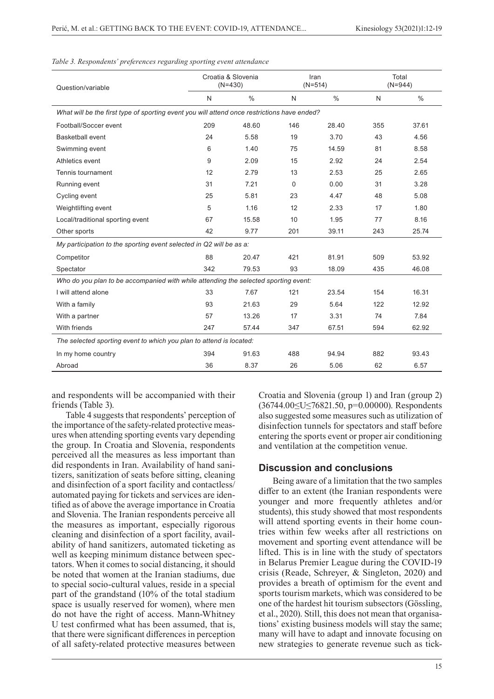| Question/variable                                                                           |     | Croatia & Slovenia<br>$(N=430)$ |     | Iran<br>$(N=514)$ | Total<br>$(N=944)$ |       |  |  |  |  |
|---------------------------------------------------------------------------------------------|-----|---------------------------------|-----|-------------------|--------------------|-------|--|--|--|--|
|                                                                                             | N   | $\%$                            | N   | $\frac{0}{0}$     | N                  | $\%$  |  |  |  |  |
| What will be the first type of sporting event you will attend once restrictions have ended? |     |                                 |     |                   |                    |       |  |  |  |  |
| Football/Soccer event                                                                       | 209 | 48.60                           | 146 | 28.40             | 355                | 37.61 |  |  |  |  |
| Basketball event                                                                            | 24  | 5.58                            | 19  | 3.70              | 43                 | 4.56  |  |  |  |  |
| Swimming event                                                                              | 6   | 1.40                            | 75  | 14.59             | 81                 | 8.58  |  |  |  |  |
| Athletics event                                                                             | 9   | 2.09                            | 15  | 2.92              | 24                 | 2.54  |  |  |  |  |
| Tennis tournament                                                                           | 12  | 2.79                            | 13  | 2.53              | 25                 | 2.65  |  |  |  |  |
| Running event                                                                               | 31  | 7.21                            | 0   | 0.00              | 31                 | 3.28  |  |  |  |  |
| Cycling event                                                                               | 25  | 5.81                            | 23  | 4.47              | 48                 | 5.08  |  |  |  |  |
| Weightlifting event                                                                         | 5   | 1.16                            | 12  | 2.33              | 17                 | 1.80  |  |  |  |  |
| Local/traditional sporting event                                                            | 67  | 15.58                           | 10  | 1.95              | 77                 | 8.16  |  |  |  |  |
| Other sports                                                                                | 42  | 9.77                            | 201 | 39.11             | 243                | 25.74 |  |  |  |  |
| My participation to the sporting event selected in Q2 will be as a:                         |     |                                 |     |                   |                    |       |  |  |  |  |
| Competitor                                                                                  | 88  | 20.47                           | 421 | 81.91             | 509                | 53.92 |  |  |  |  |
| Spectator                                                                                   | 342 | 79.53                           | 93  | 18.09             | 435                | 46.08 |  |  |  |  |
| Who do you plan to be accompanied with while attending the selected sporting event:         |     |                                 |     |                   |                    |       |  |  |  |  |
| I will attend alone                                                                         | 33  | 7.67                            | 121 | 23.54             | 154                | 16.31 |  |  |  |  |
| With a family                                                                               | 93  | 21.63                           | 29  | 5.64              | 122                | 12.92 |  |  |  |  |
| With a partner                                                                              | 57  | 13.26                           | 17  | 3.31              | 74                 | 7.84  |  |  |  |  |
| With friends                                                                                | 247 | 57.44                           | 347 | 67.51             | 594                | 62.92 |  |  |  |  |
| The selected sporting event to which you plan to attend is located:                         |     |                                 |     |                   |                    |       |  |  |  |  |
| In my home country                                                                          | 394 | 91.63                           | 488 | 94.94             | 882                | 93.43 |  |  |  |  |
| Abroad                                                                                      | 36  | 8.37                            | 26  | 5.06              | 62                 | 6.57  |  |  |  |  |

*Table 3. Respondents' preferences regarding sporting event attendance*

and respondents will be accompanied with their friends (Table 3).

Table 4 suggests that respondents' perception of the importance of the safety-related protective measures when attending sporting events vary depending the group. In Croatia and Slovenia, respondents perceived all the measures as less important than did respondents in Iran. Availability of hand sanitizers, sanitization of seats before sitting, cleaning and disinfection of a sport facility and contactless/ automated paying for tickets and services are identified as of above the average importance in Croatia and Slovenia. The Iranian respondents perceive all the measures as important, especially rigorous cleaning and disinfection of a sport facility, availability of hand sanitizers, automated ticketing as well as keeping minimum distance between spectators. When it comes to social distancing, it should be noted that women at the Iranian stadiums, due to special socio-cultural values, reside in a special part of the grandstand (10% of the total stadium space is usually reserved for women), where men do not have the right of access. Mann-Whitney U test confirmed what has been assumed, that is, that there were significant differences in perception of all safety-related protective measures between

Croatia and Slovenia (group 1) and Iran (group 2) (36744.00≤U≤76821.50, p=0.00000). Respondents also suggested some measures such as utilization of disinfection tunnels for spectators and staff before entering the sports event or proper air conditioning and ventilation at the competition venue.

#### **Discussion and conclusions**

Being aware of a limitation that the two samples differ to an extent (the Iranian respondents were younger and more frequently athletes and/or students), this study showed that most respondents will attend sporting events in their home countries within few weeks after all restrictions on movement and sporting event attendance will be lifted. This is in line with the study of spectators in Belarus Premier League during the COVID-19 crisis (Reade, Schreyer, & Singleton, 2020) and provides a breath of optimism for the event and sports tourism markets, which was considered to be one of the hardest hit tourism subsectors (Gössling, et al., 2020). Still, this does not mean that organisations' existing business models will stay the same; many will have to adapt and innovate focusing on new strategies to generate revenue such as tick-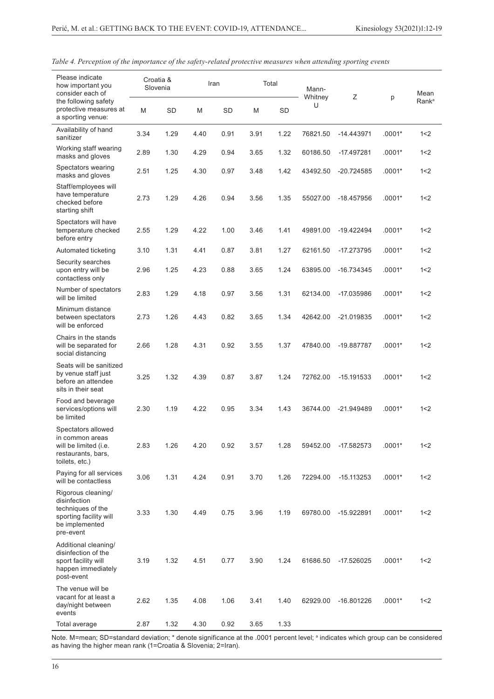| Please indicate<br>how important you<br>consider each of                                                         | Croatia &<br>Slovenia |           | Iran |           | Total |      | Mann-<br>Whitney | Ζ            |          | Mean              |
|------------------------------------------------------------------------------------------------------------------|-----------------------|-----------|------|-----------|-------|------|------------------|--------------|----------|-------------------|
| the following safety<br>protective measures at<br>a sporting venue:                                              | M                     | <b>SD</b> | M    | <b>SD</b> | M     | SD   | U                |              | p        | Rank <sup>a</sup> |
| Availability of hand<br>sanitizer                                                                                | 3.34                  | 1.29      | 4.40 | 0.91      | 3.91  | 1.22 | 76821.50         | $-14.443971$ | $.0001*$ | 1 < 2             |
| Working staff wearing<br>masks and gloves                                                                        | 2.89                  | 1.30      | 4.29 | 0.94      | 3.65  | 1.32 | 60186.50         | -17.497281   | $.0001*$ | 1 < 2             |
| Spectators wearing<br>masks and gloves                                                                           | 2.51                  | 1.25      | 4.30 | 0.97      | 3.48  | 1.42 | 43492.50         | $-20.724585$ | .0001*   | 1 < 2             |
| Staff/employees will<br>have temperature<br>checked before<br>starting shift                                     | 2.73                  | 1.29      | 4.26 | 0.94      | 3.56  | 1.35 | 55027.00         | -18.457956   | $.0001*$ | 1 < 2             |
| Spectators will have<br>temperature checked<br>before entry                                                      | 2.55                  | 1.29      | 4.22 | 1.00      | 3.46  | 1.41 | 49891.00         | $-19.422494$ | $.0001*$ | 1 < 2             |
| Automated ticketing                                                                                              | 3.10                  | 1.31      | 4.41 | 0.87      | 3.81  | 1.27 | 62161.50         | -17.273795   | $.0001*$ | 1 < 2             |
| Security searches<br>upon entry will be<br>contactless only                                                      | 2.96                  | 1.25      | 4.23 | 0.88      | 3.65  | 1.24 | 63895.00         | -16.734345   | $.0001*$ | 1 < 2             |
| Number of spectators<br>will be limited                                                                          | 2.83                  | 1.29      | 4.18 | 0.97      | 3.56  | 1.31 | 62134.00         | -17.035986   | $.0001*$ | 1 < 2             |
| Minimum distance<br>between spectators<br>will be enforced                                                       | 2.73                  | 1.26      | 4.43 | 0.82      | 3.65  | 1.34 | 42642.00         | $-21.019835$ | $.0001*$ | 1 < 2             |
| Chairs in the stands<br>will be separated for<br>social distancing                                               | 2.66                  | 1.28      | 4.31 | 0.92      | 3.55  | 1.37 | 47840.00         | -19.887787   | $.0001*$ | 1 < 2             |
| Seats will be sanitized<br>by venue staff just<br>before an attendee<br>sits in their seat                       | 3.25                  | 1.32      | 4.39 | 0.87      | 3.87  | 1.24 | 72762.00         | $-15.191533$ | $.0001*$ | 1 < 2             |
| Food and beverage<br>services/options will<br>be limited                                                         | 2.30                  | 1.19      | 4.22 | 0.95      | 3.34  | 1.43 | 36744.00         | $-21.949489$ | $.0001*$ | 1 < 2             |
| Spectators allowed<br>in common areas<br>will be limited (i.e.<br>restaurants, bars,<br>toilets, etc.)           | 2.83                  | 1.26      | 4.20 | 0.92      | 3.57  | 1.28 | 59452.00         | -17.582573   | $.0001*$ | 1 < 2             |
| Paying for all services<br>will be contactless                                                                   | 3.06                  | 1.31      | 4.24 | 0.91      | 3.70  | 1.26 | 72294.00         | $-15.113253$ | $.0001*$ | 1 < 2             |
| Rigorous cleaning/<br>disinfection<br>techniques of the<br>sporting facility will<br>be implemented<br>pre-event | 3.33                  | 1.30      | 4.49 | 0.75      | 3.96  | 1.19 | 69780.00         | -15.922891   | $.0001*$ | 1 < 2             |
| Additional cleaning/<br>disinfection of the<br>sport facility will<br>happen immediately<br>post-event           | 3.19                  | 1.32      | 4.51 | 0.77      | 3.90  | 1.24 | 61686.50         | -17.526025   | $.0001*$ | 1 < 2             |
| The venue will be<br>vacant for at least a<br>day/night between<br>events                                        | 2.62                  | 1.35      | 4.08 | 1.06      | 3.41  | 1.40 | 62929.00         | -16.801226   | $.0001*$ | 1 < 2             |
| Total average                                                                                                    | 2.87                  | 1.32      | 4.30 | 0.92      | 3.65  | 1.33 |                  |              |          |                   |

*Table 4. Perception of the importance of the safety-related protective measures when attending sporting events* 

Note. M=mean; SD=standard deviation; \* denote significance at the .0001 percent level; <sup>a</sup> indicates which group can be considered as having the higher mean rank (1=Croatia & Slovenia; 2=Iran).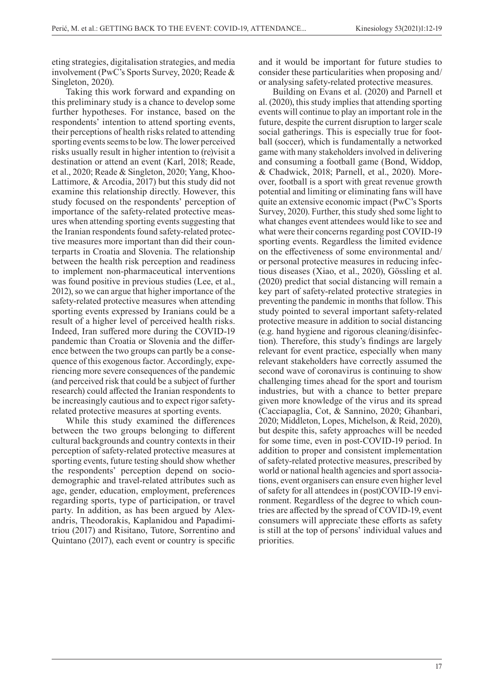eting strategies, digitalisation strategies, and media involvement (PwC's Sports Survey, 2020; Reade & Singleton, 2020).

Taking this work forward and expanding on this preliminary study is a chance to develop some further hypotheses. For instance, based on the respondents' intention to attend sporting events, their perceptions of health risks related to attending sporting events seems to be low. The lower perceived risks usually result in higher intention to (re)visit a destination or attend an event (Karl, 2018; Reade, et al., 2020; Reade & Singleton, 2020; Yang, Khoo-Lattimore, & Arcodia, 2017) but this study did not examine this relationship directly. However, this study focused on the respondents' perception of importance of the safety-related protective measures when attending sporting events suggesting that the Iranian respondents found safety-related protective measures more important than did their counterparts in Croatia and Slovenia. The relationship between the health risk perception and readiness to implement non-pharmaceutical interventions was found positive in previous studies (Lee, et al., 2012), so we can argue that higher importance of the safety-related protective measures when attending sporting events expressed by Iranians could be a result of a higher level of perceived health risks. Indeed, Iran suffered more during the COVID-19 pandemic than Croatia or Slovenia and the difference between the two groups can partly be a consequence of this exogenous factor. Accordingly, experiencing more severe consequences of the pandemic (and perceived risk that could be a subject of further research) could affected the Iranian respondents to be increasingly cautious and to expect rigor safetyrelated protective measures at sporting events.

While this study examined the differences between the two groups belonging to different cultural backgrounds and country contexts in their perception of safety-related protective measures at sporting events, future testing should show whether the respondents' perception depend on sociodemographic and travel-related attributes such as age, gender, education, employment, preferences regarding sports, type of participation, or travel party. In addition, as has been argued by Alexandris, Theodorakis, Kaplanidou and Papadimitriou (2017) and Risitano, Tutore, Sorrentino and Quintano (2017), each event or country is specific

and it would be important for future studies to consider these particularities when proposing and/ or analysing safety-related protective measures.

Building on Evans et al. (2020) and Parnell et al. (2020), this study implies that attending sporting events will continue to play an important role in the future, despite the current disruption to larger scale social gatherings. This is especially true for football (soccer), which is fundamentally a networked game with many stakeholders involved in delivering and consuming a football game (Bond, Widdop, & Chadwick, 2018; Parnell, et al., 2020). Moreover, football is a sport with great revenue growth potential and limiting or eliminating fans will have quite an extensive economic impact (PwC's Sports Survey, 2020). Further, this study shed some light to what changes event attendees would like to see and what were their concerns regarding post COVID-19 sporting events. Regardless the limited evidence on the effectiveness of some environmental and/ or personal protective measures in reducing infectious diseases (Xiao, et al., 2020), Gössling et al. (2020) predict that social distancing will remain a key part of safety-related protective strategies in preventing the pandemic in months that follow. This study pointed to several important safety-related protective measure in addition to social distancing (e.g. hand hygiene and rigorous cleaning/disinfection). Therefore, this study's findings are largely relevant for event practice, especially when many relevant stakeholders have correctly assumed the second wave of coronavirus is continuing to show challenging times ahead for the sport and tourism industries, but with a chance to better prepare given more knowledge of the virus and its spread (Cacciapaglia, Cot, & Sannino, 2020; Ghanbari, 2020; Middleton, Lopes, Michelson, & Reid, 2020), but despite this, safety approaches will be needed for some time, even in post-COVID-19 period. In addition to proper and consistent implementation of safety-related protective measures, prescribed by world or national health agencies and sport associations, event organisers can ensure even higher level of safety for all attendees in (post)COVID-19 environment. Regardless of the degree to which countries are affected by the spread of COVID-19, event consumers will appreciate these efforts as safety is still at the top of persons' individual values and priorities.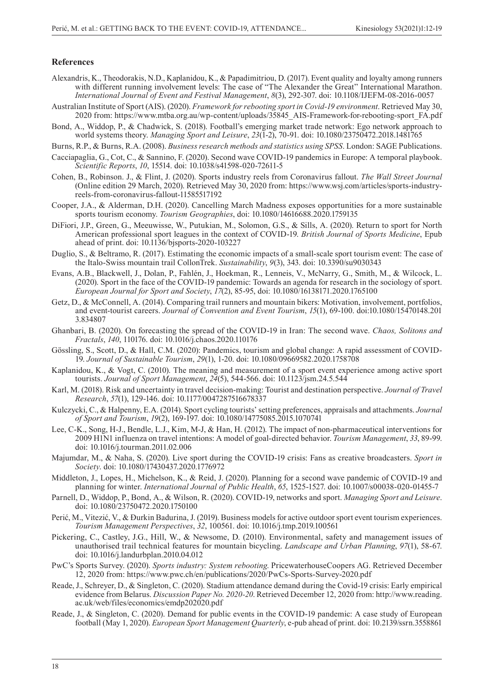#### **References**

- Alexandris, K., Theodorakis, N.D., Kaplanidou, K., & Papadimitriou, D. (2017). Event quality and loyalty among runners with different running involvement levels: The case of "The Alexander the Great" International Marathon. *International Journal of Event and Festival Management*, *8*(3), 292-307. doi: 10.1108/IJEFM-08-2016-0057
- Australian Institute of Sport (AIS). (2020). *Framework for rebooting sport in Covid-19 environment*. Retrieved May 30, 2020 from: https://www.mtba.org.au/wp-content/uploads/35845\_AIS-Framework-for-rebooting-sport\_FA.pdf
- Bond, A., Widdop, P., & Chadwick, S. (2018). Football's emerging market trade network: Ego network approach to world systems theory. *Managing Sport and Leisure*, *23*(1-2), 70-91. doi: 10.1080/23750472.2018.1481765
- Burns, R.P., & Burns, R.A. (2008). *Business research methods and statistics using SPSS*. London: SAGE Publications.
- Cacciapaglia, G., Cot, C., & Sannino, F. (2020). Second wave COVID-19 pandemics in Europe: A temporal playbook. *Scientific Reports*, *10*, 15514. doi: 10.1038/s41598-020-72611-5
- Cohen, B., Robinson. J., & Flint, J. (2020). Sports industry reels from Coronavirus fallout. *The Wall Street Journal*  (Online edition 29 March, 2020). Retrieved May 30, 2020 from: https://www.wsj.com/articles/sports-industryreels-from-coronavirus-fallout-11585517192
- Cooper, J.A., & Alderman, D.H. (2020). Cancelling March Madness exposes opportunities for a more sustainable sports tourism economy. *Tourism Geographies*, doi: 10.1080/14616688.2020.1759135
- DiFiori, J.P., Green, G., Meeuwisse, W., Putukian, M., Solomon, G.S., & Sills, A. (2020). Return to sport for North American professional sport leagues in the context of COVID-19. *British Journal of Sports Medicine*, Epub ahead of print. doi: 10.1136/bjsports-2020-103227
- Duglio, S., & Beltramo, R. (2017). Estimating the economic impacts of a small-scale sport tourism event: The case of the Italo-Swiss mountain trail CollonTrek. *Sustainability*, *9*(3), 343. doi: 10.3390/su9030343
- Evans, A.B., Blackwell, J., Dolan, P., Fahlén, J., Hoekman, R., Lenneis, V., McNarry, G., Smith, M., & Wilcock, L. (2020). Sport in the face of the COVID-19 pandemic: Towards an agenda for research in the sociology of sport. *European Journal for Sport and Society*, *17*(2), 85-95, doi: 10.1080/16138171.2020.1765100
- Getz, D., & McConnell, A. (2014). Comparing trail runners and mountain bikers: Motivation, involvement, portfolios, and event-tourist careers. *Journal of Convention and Event Tourism*, *15*(1), 69-100. doi:10.1080/15470148.201 3.834807
- Ghanbari, B. (2020). On forecasting the spread of the COVID-19 in Iran: The second wave. *Chaos, Solitons and Fractals*, *140*, 110176. doi: 10.1016/j.chaos.2020.110176
- Gössling, S., Scott, D., & Hall, C.M. (2020): Pandemics, tourism and global change: A rapid assessment of COVID-19. *Journal of Sustainable Tourism*, *29*(1), 1-20. doi: 10.1080/09669582.2020.1758708
- Kaplanidou, K., & Vogt, C. (2010). The meaning and measurement of a sport event experience among active sport tourists. *Journal of Sport Management*, *24*(5), 544-566. doi: 10.1123/jsm.24.5.544
- Karl, M. (2018). Risk and uncertainty in travel decision-making: Tourist and destination perspective. *Journal of Travel Research*, *57*(1), 129-146. doi: 10.1177/0047287516678337
- Kulczycki, C., & Halpenny, E.A. (2014). Sport cycling tourists' setting preferences, appraisals and attachments. *Journal of Sport and Tourism*, *19*(2), 169-197. doi: 10.1080/14775085.2015.1070741
- Lee, C-K., Song, H-J., Bendle, L.J., Kim, M-J, & Han, H. (2012). The impact of non-pharmaceutical interventions for 2009 H1N1 influenza on travel intentions: A model of goal-directed behavior. *Tourism Management*, *33*, 89-99. doi: 10.1016/j.tourman.2011.02.006
- Majumdar, M., & Naha, S. (2020). Live sport during the COVID-19 crisis: Fans as creative broadcasters. *Sport in Society*. doi: 10.1080/17430437.2020.1776972
- Middleton, J., Lopes, H., Michelson, K., & Reid, J. (2020). Planning for a second wave pandemic of COVID-19 and planning for winter. *International Journal of Public Health*, *65*, 1525-1527. doi: 10.1007/s00038-020-01455-7
- Parnell, D., Widdop, P., Bond, A., & Wilson, R. (2020). COVID-19, networks and sport. *Managing Sport and Leisure*. doi: 10.1080/23750472.2020.1750100
- Perić, M., Vitezić, V., & Đurkin Badurina, J. (2019). Business models for active outdoor sport event tourism experiences. *Tourism Management Perspectives*, *32*, 100561. doi: 10.1016/j.tmp.2019.100561
- Pickering, C., Castley, J.G., Hill, W., & Newsome, D. (2010). Environmental, safety and management issues of unauthorised trail technical features for mountain bicycling. *Landscape and Urban Planning*, *97*(1), 58-67. doi: 10.1016/j.landurbplan.2010.04.012
- PwC's Sports Survey. (2020). *Sports industry: System rebooting*. PricewaterhouseCoopers AG. Retrieved December 12, 2020 from: https://www.pwc.ch/en/publications/2020/PwCs-Sports-Survey-2020.pdf
- Reade, J., Schreyer, D., & Singleton, C. (2020). Stadium attendance demand during the Covid-19 crisis: Early empirical evidence from Belarus. *Discussion Paper No. 2020-20*. Retrieved December 12, 2020 from: http://www.reading. ac.uk/web/files/economics/emdp202020.pdf
- Reade, J., & Singleton, C. (2020). Demand for public events in the COVID-19 pandemic: A case study of European football (May 1, 2020). *European Sport Management Quarterly*, e-pub ahead of print. doi: 10.2139/ssrn.3558861